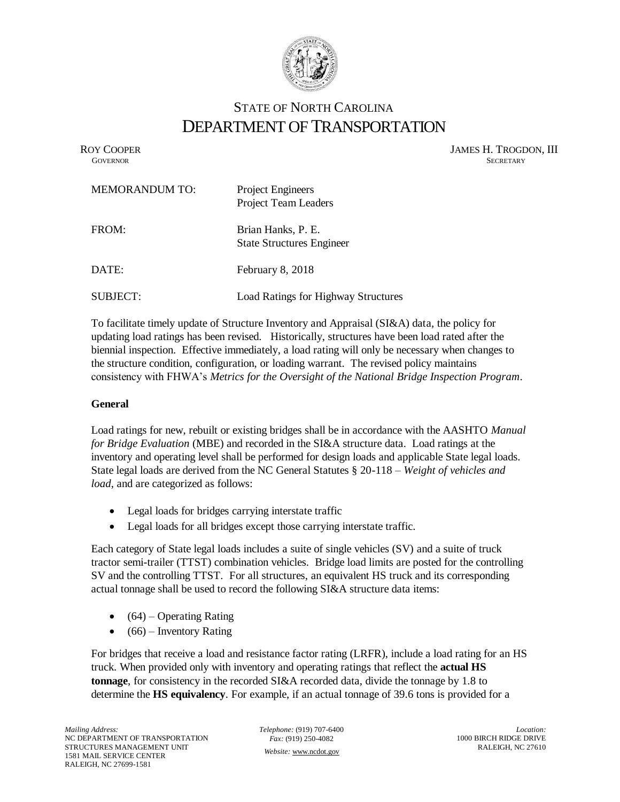

# STATE OF NORTH CAROLINA DEPARTMENT OF TRANSPORTATION

ROY COOPER JAMES H. TROGDON, III<br>GOVERNOR SECRETARY SECRETARY **GOVERNOR** SECRETARY

| <b>MEMORANDUM TO:</b> | <b>Project Engineers</b><br><b>Project Team Leaders</b> |
|-----------------------|---------------------------------------------------------|
| FROM:                 | Brian Hanks, P. E.<br><b>State Structures Engineer</b>  |
| DATE:                 | February 8, 2018                                        |
| SUBJECT:              | <b>Load Ratings for Highway Structures</b>              |

To facilitate timely update of Structure Inventory and Appraisal (SI&A) data, the policy for updating load ratings has been revised. Historically, structures have been load rated after the biennial inspection. Effective immediately, a load rating will only be necessary when changes to the structure condition, configuration, or loading warrant. The revised policy maintains consistency with FHWA's *Metrics for the Oversight of the National Bridge Inspection Program*.

## **General**

Load ratings for new, rebuilt or existing bridges shall be in accordance with the AASHTO *Manual for Bridge Evaluation* (MBE) and recorded in the SI&A structure data. Load ratings at the inventory and operating level shall be performed for design loads and applicable State legal loads. State legal loads are derived from the NC General Statutes § 20-118 – *Weight of vehicles and load*, and are categorized as follows:

- Legal loads for bridges carrying interstate traffic
- Legal loads for all bridges except those carrying interstate traffic.

Each category of State legal loads includes a suite of single vehicles (SV) and a suite of truck tractor semi-trailer (TTST) combination vehicles. Bridge load limits are posted for the controlling SV and the controlling TTST. For all structures, an equivalent HS truck and its corresponding actual tonnage shall be used to record the following SI&A structure data items:

- $\bullet$  (64) Operating Rating
- $\bullet$  (66) Inventory Rating

For bridges that receive a load and resistance factor rating (LRFR), include a load rating for an HS truck. When provided only with inventory and operating ratings that reflect the **actual HS tonnage**, for consistency in the recorded SI&A recorded data, divide the tonnage by 1.8 to determine the **HS equivalency**. For example, if an actual tonnage of 39.6 tons is provided for a

*Telephone:* (919) 707-6400 *Fax:* (919) 250-4082 *Website:* [www.ncdot.gov](http://www.ncdot.gov/)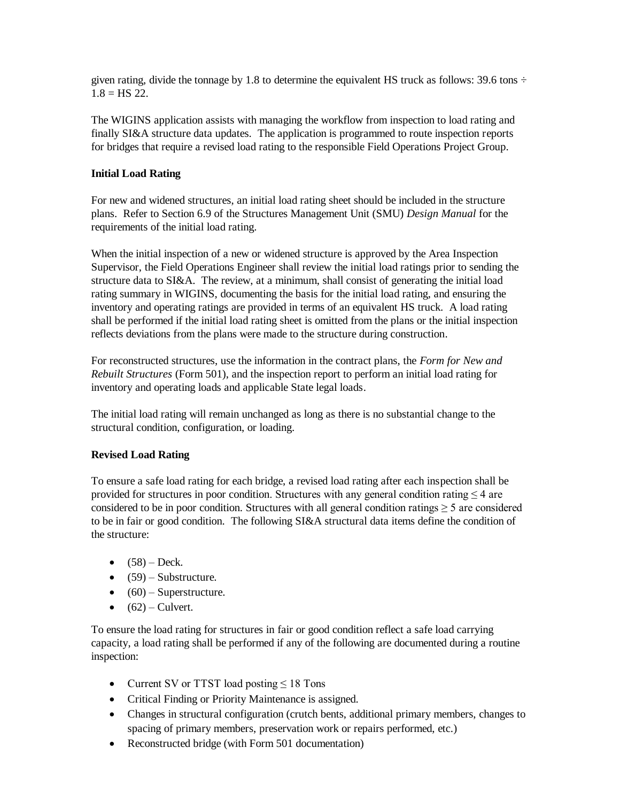given rating, divide the tonnage by 1.8 to determine the equivalent HS truck as follows: 39.6 tons  $\div$  $1.8 =$  HS 22.

The WIGINS application assists with managing the workflow from inspection to load rating and finally SI&A structure data updates. The application is programmed to route inspection reports for bridges that require a revised load rating to the responsible Field Operations Project Group.

### **Initial Load Rating**

For new and widened structures, an initial load rating sheet should be included in the structure plans. Refer to Section 6.9 of the Structures Management Unit (SMU) *Design Manual* for the requirements of the initial load rating.

When the initial inspection of a new or widened structure is approved by the Area Inspection Supervisor, the Field Operations Engineer shall review the initial load ratings prior to sending the structure data to SI&A. The review, at a minimum, shall consist of generating the initial load rating summary in WIGINS, documenting the basis for the initial load rating, and ensuring the inventory and operating ratings are provided in terms of an equivalent HS truck. A load rating shall be performed if the initial load rating sheet is omitted from the plans or the initial inspection reflects deviations from the plans were made to the structure during construction.

For reconstructed structures, use the information in the contract plans, the *Form for New and Rebuilt Structures* (Form 501), and the inspection report to perform an initial load rating for inventory and operating loads and applicable State legal loads.

The initial load rating will remain unchanged as long as there is no substantial change to the structural condition, configuration, or loading.

#### **Revised Load Rating**

To ensure a safe load rating for each bridge, a revised load rating after each inspection shall be provided for structures in poor condition. Structures with any general condition rating ≤ 4 are considered to be in poor condition. Structures with all general condition ratings  $\geq 5$  are considered to be in fair or good condition. The following SI&A structural data items define the condition of the structure:

- $(58) \text{Deck}$ .
- $\bullet$  (59) Substructure.
- $\bullet$  (60) Superstructure.
- $\bullet$  (62) Culvert.

To ensure the load rating for structures in fair or good condition reflect a safe load carrying capacity, a load rating shall be performed if any of the following are documented during a routine inspection:

- Current SV or TTST load posting  $\leq 18$  Tons
- Critical Finding or Priority Maintenance is assigned.
- Changes in structural configuration (crutch bents, additional primary members, changes to spacing of primary members, preservation work or repairs performed, etc.)
- Reconstructed bridge (with Form 501 documentation)